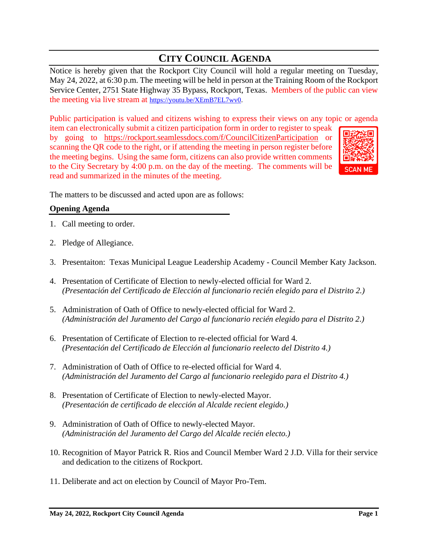# **CITY COUNCIL AGENDA**

Notice is hereby given that the Rockport City Council will hold a regular meeting on Tuesday, May 24, 2022, at 6:30 p.m. The meeting will be held in person at the Training Room of the Rockport Service Center, 2751 State Highway 35 Bypass, Rockport, Texas. Members of the public can view the meeting via live stream at [https://youtu.be/XEmB7EL7wv0.](https://youtu.be/XEmB7EL7wv0)

Public participation is valued and citizens wishing to express their views on any topic or agenda

item can electronically submit a citizen participation form in order to register to speak by going to <https://rockport.seamlessdocs.com/f/CouncilCitizenParticipation> or scanning the QR code to the right, or if attending the meeting in person register before the meeting begins. Using the same form, citizens can also provide written comments to the City Secretary by 4:00 p.m. on the day of the meeting. The comments will be read and summarized in the minutes of the meeting.



The matters to be discussed and acted upon are as follows:

# **Opening Agenda**

- 1. Call meeting to order.
- 2. Pledge of Allegiance.
- 3. Presentaiton: Texas Municipal League Leadership Academy Council Member Katy Jackson.
- 4. Presentation of Certificate of Election to newly-elected official for Ward 2. *(Presentación del Certificado de Elección al funcionario recién elegido para el Distrito 2.)*
- 5. Administration of Oath of Office to newly-elected official for Ward 2. *(Administración del Juramento del Cargo al funcionario recién elegido para el Distrito 2.)*
- 6. Presentation of Certificate of Election to re-elected official for Ward 4. *(Presentación del Certificado de Elección al funcionario reelecto del Distrito 4.)*
- 7. Administration of Oath of Office to re-elected official for Ward 4. *(Administración del Juramento del Cargo al funcionario reelegido para el Distrito 4.)*
- 8. Presentation of Certificate of Election to newly-elected Mayor. *(Presentación de certificado de elección al Alcalde recient elegido.)*
- 9. Administration of Oath of Office to newly-elected Mayor. *(Administración del Juramento del Cargo del Alcalde recién electo.)*
- 10. Recognition of Mayor Patrick R. Rios and Council Member Ward 2 J.D. Villa for their service and dedication to the citizens of Rockport.
- 11. Deliberate and act on election by Council of Mayor Pro-Tem.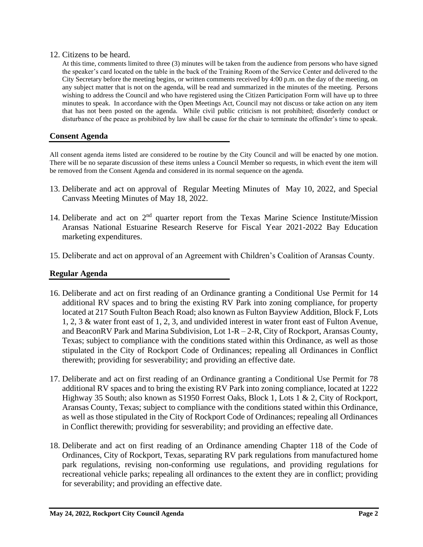## 12. Citizens to be heard.

At this time, comments limited to three (3) minutes will be taken from the audience from persons who have signed the speaker's card located on the table in the back of the Training Room of the Service Center and delivered to the City Secretary before the meeting begins, or written comments received by 4:00 p.m. on the day of the meeting, on any subject matter that is not on the agenda, will be read and summarized in the minutes of the meeting. Persons wishing to address the Council and who have registered using the Citizen Participation Form will have up to three minutes to speak. In accordance with the Open Meetings Act, Council may not discuss or take action on any item that has not been posted on the agenda. While civil public criticism is not prohibited; disorderly conduct or disturbance of the peace as prohibited by law shall be cause for the chair to terminate the offender's time to speak.

# **Consent Agenda**

All consent agenda items listed are considered to be routine by the City Council and will be enacted by one motion. There will be no separate discussion of these items unless a Council Member so requests, in which event the item will be removed from the Consent Agenda and considered in its normal sequence on the agenda.

- 13. Deliberate and act on approval of Regular Meeting Minutes of May 10, 2022, and Special Canvass Meeting Minutes of May 18, 2022.
- 14. Deliberate and act on  $2<sup>nd</sup>$  quarter report from the Texas Marine Science Institute/Mission Aransas National Estuarine Research Reserve for Fiscal Year 2021-2022 Bay Education marketing expenditures.
- 15. Deliberate and act on approval of an Agreement with Children's Coalition of Aransas County.

# **Regular Agenda**

- 16. Deliberate and act on first reading of an Ordinance granting a Conditional Use Permit for 14 additional RV spaces and to bring the existing RV Park into zoning compliance, for property located at 217 South Fulton Beach Road; also known as Fulton Bayview Addition, Block F, Lots 1, 2, 3 & water front east of 1, 2, 3, and undivided interest in water front east of Fulton Avenue, and BeaconRV Park and Marina Subdivision, Lot 1-R – 2-R, City of Rockport, Aransas County, Texas; subject to compliance with the conditions stated within this Ordinance, as well as those stipulated in the City of Rockport Code of Ordinances; repealing all Ordinances in Conflict therewith; providing for sesverability; and providing an effective date.
- 17. Deliberate and act on first reading of an Ordinance granting a Conditional Use Permit for 78 additional RV spaces and to bring the existing RV Park into zoning compliance, located at 1222 Highway 35 South; also known as S1950 Forrest Oaks, Block 1, Lots 1 & 2, City of Rockport, Aransas County, Texas; subject to compliance with the conditions stated within this Ordinance, as well as those stipulated in the City of Rockport Code of Ordinances; repealing all Ordinances in Conflict therewith; providing for sesverability; and providing an effective date.
- 18. Deliberate and act on first reading of an Ordinance amending Chapter 118 of the Code of Ordinances, City of Rockport, Texas, separating RV park regulations from manufactured home park regulations, revising non-conforming use regulations, and providing regulations for recreational vehicle parks; repealing all ordinances to the extent they are in conflict; providing for severability; and providing an effective date.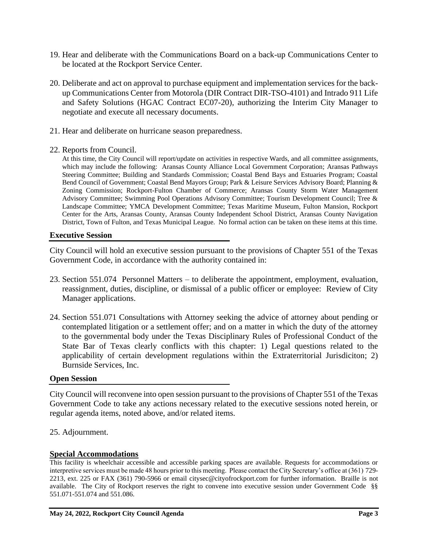- 19. Hear and deliberate with the Communications Board on a back-up Communications Center to be located at the Rockport Service Center.
- 20. Deliberate and act on approval to purchase equipment and implementation services for the backup Communications Center from Motorola (DIR Contract DIR-TSO-4101) and Intrado 911 Life and Safety Solutions (HGAC Contract EC07-20), authorizing the Interim City Manager to negotiate and execute all necessary documents.
- 21. Hear and deliberate on hurricane season preparedness.
- 22. Reports from Council.

At this time, the City Council will report/update on activities in respective Wards, and all committee assignments, which may include the following: Aransas County Alliance Local Government Corporation; Aransas Pathways Steering Committee; Building and Standards Commission; Coastal Bend Bays and Estuaries Program; Coastal Bend Council of Government; Coastal Bend Mayors Group; Park & Leisure Services Advisory Board; Planning & Zoning Commission; Rockport-Fulton Chamber of Commerce; Aransas County Storm Water Management Advisory Committee; Swimming Pool Operations Advisory Committee; Tourism Development Council; Tree & Landscape Committee; YMCA Development Committee; Texas Maritime Museum, Fulton Mansion, Rockport Center for the Arts, Aransas County, Aransas County Independent School District, Aransas County Navigation District, Town of Fulton, and Texas Municipal League. No formal action can be taken on these items at this time.

## **Executive Session**

City Council will hold an executive session pursuant to the provisions of Chapter 551 of the Texas Government Code, in accordance with the authority contained in:

- 23. Section 551.074 Personnel Matters to deliberate the appointment, employment, evaluation, reassignment, duties, discipline, or dismissal of a public officer or employee: Review of City Manager applications.
- 24. Section 551.071 Consultations with Attorney seeking the advice of attorney about pending or contemplated litigation or a settlement offer; and on a matter in which the duty of the attorney to the governmental body under the Texas Disciplinary Rules of Professional Conduct of the State Bar of Texas clearly conflicts with this chapter: 1) Legal questions related to the applicability of certain development regulations within the Extraterritorial Jurisdiciton; 2) Burnside Services, Inc.

# **Open Session**

City Council will reconvene into open session pursuant to the provisions of Chapter 551 of the Texas Government Code to take any actions necessary related to the executive sessions noted herein, or regular agenda items, noted above, and/or related items.

25. Adjournment.

#### **Special Accommodations**

This facility is wheelchair accessible and accessible parking spaces are available. Requests for accommodations or interpretive services must be made 48 hours prior to this meeting. Please contact the City Secretary's office at (361) 729- 2213, ext. 225 or FAX (361) 790-5966 or email [citysec@cityofrockport.com](mailto:citysec@cityofrockport.com) for further information. Braille is not available. The City of Rockport reserves the right to convene into executive session under Government Code §§ 551.071-551.074 and 551.086.